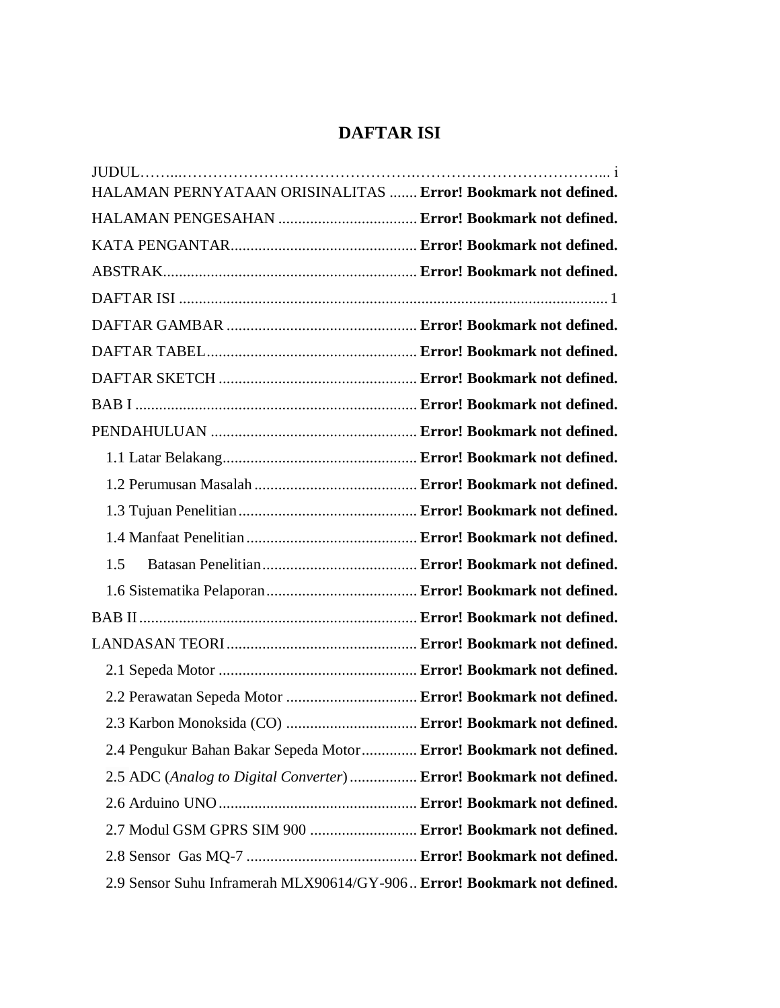## **DAFTAR ISI**

<span id="page-0-0"></span>

| HALAMAN PERNYATAAN ORISINALITAS  Error! Bookmark not defined.           |  |
|-------------------------------------------------------------------------|--|
|                                                                         |  |
|                                                                         |  |
|                                                                         |  |
|                                                                         |  |
|                                                                         |  |
|                                                                         |  |
|                                                                         |  |
|                                                                         |  |
|                                                                         |  |
|                                                                         |  |
|                                                                         |  |
|                                                                         |  |
|                                                                         |  |
| 1.5                                                                     |  |
|                                                                         |  |
|                                                                         |  |
|                                                                         |  |
|                                                                         |  |
| 2.2 Perawatan Sepeda Motor  Error! Bookmark not defined.                |  |
| 2.3 Karbon Monoksida (CO)  Error! Bookmark not defined.                 |  |
| 2.4 Pengukur Bahan Bakar Sepeda Motor Error! Bookmark not defined.      |  |
| 2.5 ADC (Analog to Digital Converter)  Error! Bookmark not defined.     |  |
|                                                                         |  |
| 2.7 Modul GSM GPRS SIM 900  Error! Bookmark not defined.                |  |
|                                                                         |  |
| 2.9 Sensor Suhu Inframerah MLX90614/GY-906 Error! Bookmark not defined. |  |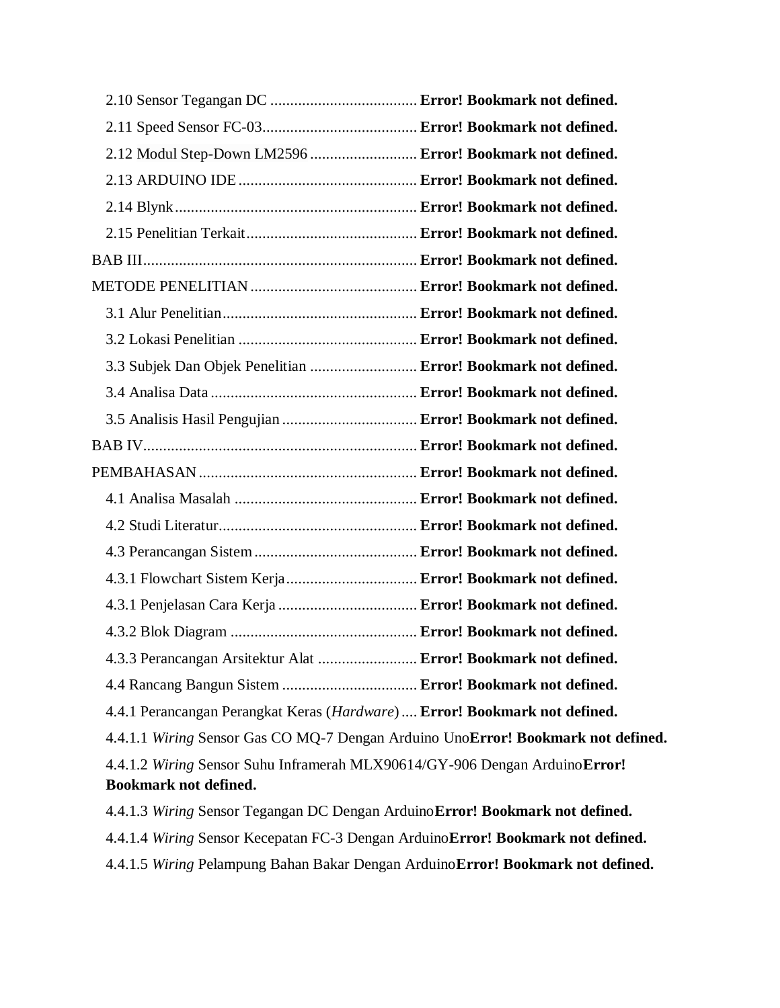| 2.12 Modul Step-Down LM2596  Error! Bookmark not defined.                        |  |  |
|----------------------------------------------------------------------------------|--|--|
|                                                                                  |  |  |
|                                                                                  |  |  |
|                                                                                  |  |  |
|                                                                                  |  |  |
|                                                                                  |  |  |
|                                                                                  |  |  |
|                                                                                  |  |  |
| 3.3 Subjek Dan Objek Penelitian  Error! Bookmark not defined.                    |  |  |
|                                                                                  |  |  |
| 3.5 Analisis Hasil Pengujian  Error! Bookmark not defined.                       |  |  |
|                                                                                  |  |  |
|                                                                                  |  |  |
|                                                                                  |  |  |
|                                                                                  |  |  |
|                                                                                  |  |  |
| 4.3.1 Flowchart Sistem Kerja Error! Bookmark not defined.                        |  |  |
| 4.3.1 Penjelasan Cara Kerja  Error! Bookmark not defined.                        |  |  |
|                                                                                  |  |  |
| 4.3.3 Perancangan Arsitektur Alat  Error! Bookmark not defined.                  |  |  |
| 4.4 Rancang Bangun Sistem  Error! Bookmark not defined.                          |  |  |
| 4.4.1 Perancangan Perangkat Keras (Hardware)  Error! Bookmark not defined.       |  |  |
| 4.4.1.1 Wiring Sensor Gas CO MQ-7 Dengan Arduino UnoError! Bookmark not defined. |  |  |
| 4.4.1.2 Wiring Sensor Suhu Inframerah MLX90614/GY-906 Dengan ArduinoError!       |  |  |
| <b>Bookmark not defined.</b>                                                     |  |  |
| 4.4.1.3 Wiring Sensor Tegangan DC Dengan Arduino Error! Bookmark not defined.    |  |  |
| 4.4.1.4 Wiring Sensor Kecepatan FC-3 Dengan Arduino Error! Bookmark not defined. |  |  |
| 4.4.1.5 Wiring Pelampung Bahan Bakar Dengan Arduino Error! Bookmark not defined. |  |  |